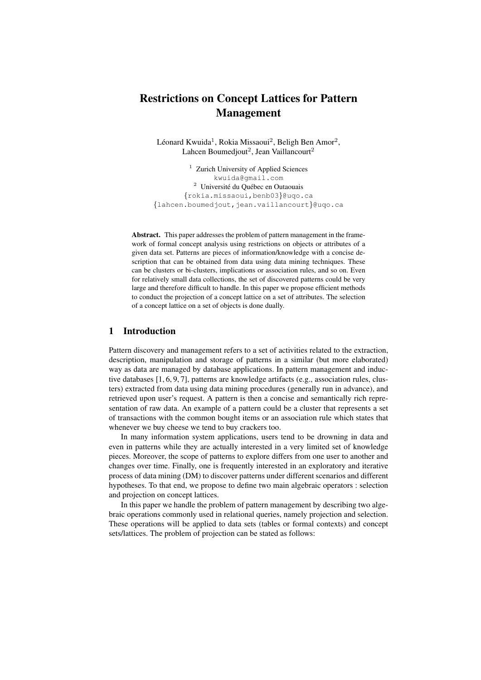# Restrictions on Concept Lattices for Pattern Management

Léonard Kwuida<sup>1</sup>, Rokia Missaoui<sup>2</sup>, Beligh Ben Amor<sup>2</sup>, Lahcen Boumedjout<sup>2</sup>, Jean Vaillancourt<sup>2</sup>

<sup>1</sup> Zurich University of Applied Sciences kwuida@gmail.com  $2$  Université du Québec en Outaouais {rokia.missaoui,benb03}@uqo.ca {lahcen.boumedjout,jean.vaillancourt}@uqo.ca

Abstract. This paper addresses the problem of pattern management in the framework of formal concept analysis using restrictions on objects or attributes of a given data set. Patterns are pieces of information/knowledge with a concise description that can be obtained from data using data mining techniques. These can be clusters or bi-clusters, implications or association rules, and so on. Even for relatively small data collections, the set of discovered patterns could be very large and therefore difficult to handle. In this paper we propose efficient methods to conduct the projection of a concept lattice on a set of attributes. The selection of a concept lattice on a set of objects is done dually.

# 1 Introduction

Pattern discovery and management refers to a set of activities related to the extraction, description, manipulation and storage of patterns in a similar (but more elaborated) way as data are managed by database applications. In pattern management and inductive databases [1, 6, 9, 7], patterns are knowledge artifacts (e.g., association rules, clusters) extracted from data using data mining procedures (generally run in advance), and retrieved upon user's request. A pattern is then a concise and semantically rich representation of raw data. An example of a pattern could be a cluster that represents a set of transactions with the common bought items or an association rule which states that whenever we buy cheese we tend to buy crackers too.

In many information system applications, users tend to be drowning in data and even in patterns while they are actually interested in a very limited set of knowledge pieces. Moreover, the scope of patterns to explore differs from one user to another and changes over time. Finally, one is frequently interested in an exploratory and iterative process of data mining (DM) to discover patterns under different scenarios and different hypotheses. To that end, we propose to define two main algebraic operators : selection and projection on concept lattices.

In this paper we handle the problem of pattern management by describing two algebraic operations commonly used in relational queries, namely projection and selection. These operations will be applied to data sets (tables or formal contexts) and concept sets/lattices. The problem of projection can be stated as follows: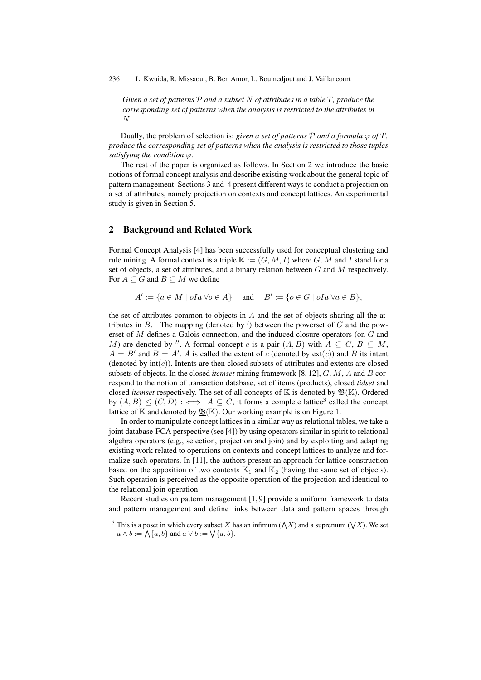236 L. Kwuida, R. Missaoui, B. Ben Amor, L. Boumedjout and J. Vaillancourt

*Given a set of patterns* P *and a subset* N *of attributes in a table* T*, produce the corresponding set of patterns when the analysis is restricted to the attributes in* N.

Dually, the problem of selection is: *given a set of patterns*  $P$  *and a formula*  $\varphi$  *of*  $T$ *, produce the corresponding set of patterns when the analysis is restricted to those tuples satisfying the condition*  $\varphi$ .

The rest of the paper is organized as follows. In Section 2 we introduce the basic notions of formal concept analysis and describe existing work about the general topic of pattern management. Sections 3 and 4 present different ways to conduct a projection on a set of attributes, namely projection on contexts and concept lattices. An experimental study is given in Section 5.

## 2 Background and Related Work

Formal Concept Analysis [4] has been successfully used for conceptual clustering and rule mining. A formal context is a triple  $\mathbb{K} := (G, M, I)$  where G, M and I stand for a set of objects, a set of attributes, and a binary relation between  $G$  and  $M$  respectively. For  $A \subseteq G$  and  $B \subseteq M$  we define

 $A' := \{a \in M \mid oIa \,\forall o \in A\}$  and  $B' := \{o \in G \mid oIa \,\forall a \in B\},$ 

the set of attributes common to objects in  $A$  and the set of objects sharing all the attributes in  $B$ . The mapping (denoted by  $'$ ) between the powerset of  $G$  and the powerset of M defines a Galois connection, and the induced closure operators (on G and M) are denoted by ". A formal concept c is a pair  $(A, B)$  with  $A \subseteq G$ ,  $B \subseteq M$ ,  $A = B'$  and  $B = A'$ . A is called the extent of c (denoted by ext(c)) and B its intent (denoted by  $int(c)$ ). Intents are then closed subsets of attributes and extents are closed subsets of objects. In the closed *itemset* mining framework [8, 12], G, M, A and B correspond to the notion of transaction database, set of items (products), closed *tidset* and closed *itemset* respectively. The set of all concepts of  $K$  is denoted by  $\mathfrak{B}(K)$ . Ordered by  $(A, B) \le (C, D)$ :  $\iff A \subseteq C$ , it forms a complete lattice<sup>3</sup> called the concept lattice of  $\mathbb K$  and denoted by  $\mathfrak{B}(\mathbb K)$ . Our working example is on Figure 1.

In order to manipulate concept lattices in a similar way as relational tables, we take a joint database-FCA perspective (see [4]) by using operators similar in spirit to relational algebra operators (e.g., selection, projection and join) and by exploiting and adapting existing work related to operations on contexts and concept lattices to analyze and formalize such operators. In [11], the authors present an approach for lattice construction based on the apposition of two contexts  $\mathbb{K}_1$  and  $\mathbb{K}_2$  (having the same set of objects). Such operation is perceived as the opposite operation of the projection and identical to the relational join operation.

Recent studies on pattern management [1, 9] provide a uniform framework to data and pattern management and define links between data and pattern spaces through

<sup>&</sup>lt;sup>3</sup> This is a poset in which every subset X has an infimum ( $\bigwedge X$ ) and a supremum ( $\bigvee X$ ). We set  $a \wedge b := \bigwedge \{a, b\}$  and  $a \vee b := \bigvee \{a, b\}.$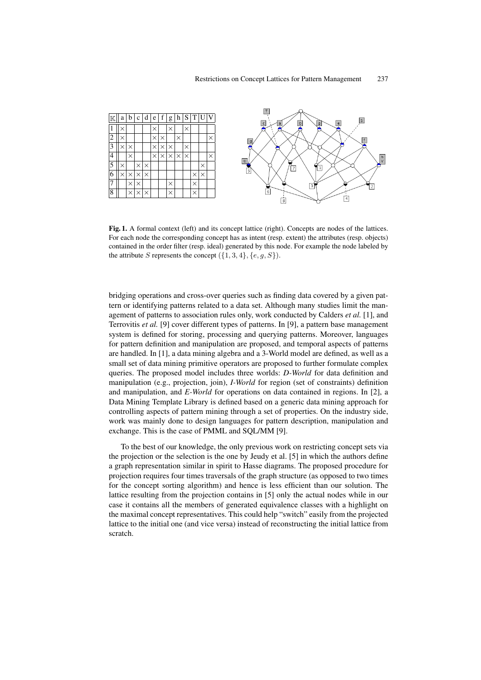

Fig. 1. A formal context (left) and its concept lattice (right). Concepts are nodes of the lattices. For each node the corresponding concept has as intent (resp. extent) the attributes (resp. objects) contained in the order filter (resp. ideal) generated by this node. For example the node labeled by the attribute S represents the concept  $({1, 3, 4}, {e, q, S})$ .

bridging operations and cross-over queries such as finding data covered by a given pattern or identifying patterns related to a data set. Although many studies limit the management of patterns to association rules only, work conducted by Calders *et al.* [1], and Terrovitis *et al.* [9] cover different types of patterns. In [9], a pattern base management system is defined for storing, processing and querying patterns. Moreover, languages for pattern definition and manipulation are proposed, and temporal aspects of patterns are handled. In [1], a data mining algebra and a 3-World model are defined, as well as a small set of data mining primitive operators are proposed to further formulate complex queries. The proposed model includes three worlds: *D-World* for data definition and manipulation (e.g., projection, join), *I-World* for region (set of constraints) definition and manipulation, and *E-World* for operations on data contained in regions. In [2], a Data Mining Template Library is defined based on a generic data mining approach for controlling aspects of pattern mining through a set of properties. On the industry side, work was mainly done to design languages for pattern description, manipulation and exchange. This is the case of PMML and SQL/MM [9].

To the best of our knowledge, the only previous work on restricting concept sets via the projection or the selection is the one by Jeudy et al. [5] in which the authors define a graph representation similar in spirit to Hasse diagrams. The proposed procedure for projection requires four times traversals of the graph structure (as opposed to two times for the concept sorting algorithm) and hence is less efficient than our solution. The lattice resulting from the projection contains in [5] only the actual nodes while in our case it contains all the members of generated equivalence classes with a highlight on the maximal concept representatives. This could help "switch" easily from the projected lattice to the initial one (and vice versa) instead of reconstructing the initial lattice from scratch.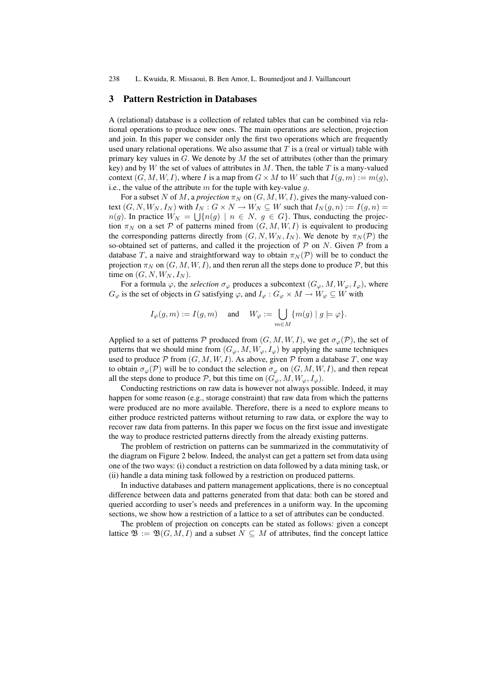238 L. Kwuida, R. Missaoui, B. Ben Amor, L. Boumedjout and J. Vaillancourt

### 3 Pattern Restriction in Databases

A (relational) database is a collection of related tables that can be combined via relational operations to produce new ones. The main operations are selection, projection and join. In this paper we consider only the first two operations which are frequently used unary relational operations. We also assume that  $T$  is a (real or virtual) table with primary key values in  $G$ . We denote by  $M$  the set of attributes (other than the primary key) and by W the set of values of attributes in  $M$ . Then, the table  $T$  is a many-valued context  $(G, M, W, I)$ , where I is a map from  $G \times M$  to W such that  $I(q, m) := m(q)$ , i.e., the value of the attribute  $m$  for the tuple with key-value  $q$ .

For a subset N of M, a *projection*  $\pi_N$  on  $(G, M, W, I)$ , gives the many-valued context  $(G, N, W_N, I_N)$  with  $I_N : G \times N \to W_N \subseteq W$  such that  $I_N(g, n) := I(g, n) =$  $n(g)$ . In practice  $W_N = \bigcup \{n(g) \mid n \in N, g \in G\}$ . Thus, conducting the projection  $\pi_N$  on a set P of patterns mined from  $(G, M, W, I)$  is equivalent to producing the corresponding patterns directly from  $(G, N, W_N, I_N)$ . We denote by  $\pi_N(\mathcal{P})$  the so-obtained set of patterns, and called it the projection of  $P$  on N. Given  $P$  from a database T, a naive and straightforward way to obtain  $\pi_N(\mathcal{P})$  will be to conduct the projection  $\pi_N$  on  $(G, M, W, I)$ , and then rerun all the steps done to produce  $P$ , but this time on  $(G, N, W_N, I_N)$ .

For a formula  $\varphi$ , the *selection*  $\sigma_{\varphi}$  produces a subcontext  $(G_{\varphi}, M, W_{\varphi}, I_{\varphi})$ , where  $G_{\varphi}$  is the set of objects in G satisfying  $\varphi$ , and  $I_{\varphi}: G_{\varphi} \times M \to W_{\varphi} \subseteq W$  with

$$
I_\varphi(g,m):=I(g,m)\quad\text{ and }\quad W_\varphi:=\bigcup_{m\in M}\{m(g)\mid g\models\varphi\}.
$$

Applied to a set of patterns P produced from  $(G, M, W, I)$ , we get  $\sigma_{\varphi}(\mathcal{P})$ , the set of patterns that we should mine from  $(G_{\varphi}, M, W_{\varphi}, I_{\varphi})$  by applying the same techniques used to produce  $P$  from  $(G, M, W, I)$ . As above, given P from a database T, one way to obtain  $\sigma_{\varphi}(\mathcal{P})$  will be to conduct the selection  $\sigma_{\varphi}$  on  $(G, M, W, I)$ , and then repeat all the steps done to produce  $P$ , but this time on  $(G_{\varphi}, M, W_{\varphi}, I_{\varphi})$ .

Conducting restrictions on raw data is however not always possible. Indeed, it may happen for some reason (e.g., storage constraint) that raw data from which the patterns were produced are no more available. Therefore, there is a need to explore means to either produce restricted patterns without returning to raw data, or explore the way to recover raw data from patterns. In this paper we focus on the first issue and investigate the way to produce restricted patterns directly from the already existing patterns.

The problem of restriction on patterns can be summarized in the commutativity of the diagram on Figure 2 below. Indeed, the analyst can get a pattern set from data using one of the two ways: (i) conduct a restriction on data followed by a data mining task, or (ii) handle a data mining task followed by a restriction on produced patterns.

In inductive databases and pattern management applications, there is no conceptual difference between data and patterns generated from that data: both can be stored and queried according to user's needs and preferences in a uniform way. In the upcoming sections, we show how a restriction of a lattice to a set of attributes can be conducted.

The problem of projection on concepts can be stated as follows: given a concept lattice  $\mathfrak{B} := \mathfrak{B}(G, M, I)$  and a subset  $N \subseteq M$  of attributes, find the concept lattice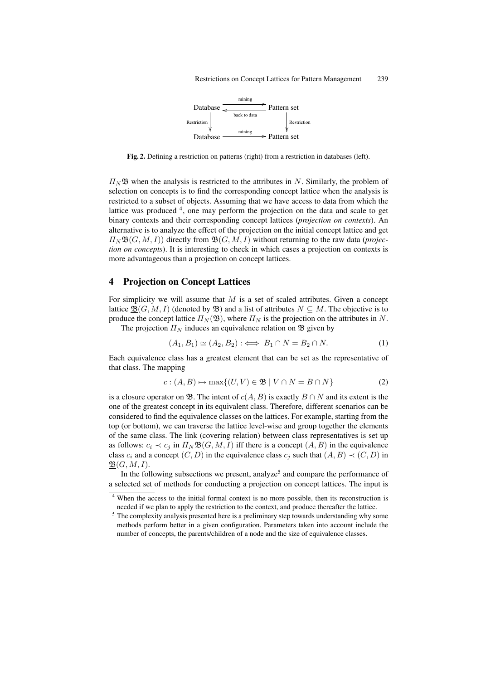

Fig. 2. Defining a restriction on patterns (right) from a restriction in databases (left).

 $\Pi_N$  B when the analysis is restricted to the attributes in N. Similarly, the problem of selection on concepts is to find the corresponding concept lattice when the analysis is restricted to a subset of objects. Assuming that we have access to data from which the lattice was produced <sup>4</sup>, one may perform the projection on the data and scale to get binary contexts and their corresponding concept lattices (*projection on contexts*). An alternative is to analyze the effect of the projection on the initial concept lattice and get  $\Pi_N \mathfrak{B}(G, M, I)$  directly from  $\mathfrak{B}(G, M, I)$  without returning to the raw data (*projection on concepts*). It is interesting to check in which cases a projection on contexts is more advantageous than a projection on concept lattices.

# 4 Projection on Concept Lattices

For simplicity we will assume that  $M$  is a set of scaled attributes. Given a concept lattice  $\underline{\mathfrak{B}}(G, M, I)$  (denoted by  $\mathfrak{B}$ ) and a list of attributes  $N \subseteq M$ . The objective is to produce the concept lattice  $\Pi_N(\mathfrak{B})$ , where  $\Pi_N$  is the projection on the attributes in N. The projection  $\Pi_N$  induces an equivalence relation on  $\mathfrak B$  given by

$$
(A_1, B_1) \simeq (A_2, B_2) : \iff B_1 \cap N = B_2 \cap N. \tag{1}
$$

Each equivalence class has a greatest element that can be set as the representative of that class. The mapping

$$
c: (A, B) \mapsto \max\{(U, V) \in \mathfrak{B} \mid V \cap N = B \cap N\}
$$
 (2)

is a closure operator on B. The intent of  $c(A, B)$  is exactly  $B \cap N$  and its extent is the one of the greatest concept in its equivalent class. Therefore, different scenarios can be considered to find the equivalence classes on the lattices. For example, starting from the top (or bottom), we can traverse the lattice level-wise and group together the elements of the same class. The link (covering relation) between class representatives is set up as follows:  $c_i \prec c_j$  in  $\Pi_N \mathfrak{B}(G, M, I)$  iff there is a concept  $(A, B)$  in the equivalence class  $c_i$  and a concept  $(C, D)$  in the equivalence class  $c_j$  such that  $(A, B) \prec (C, D)$  in  $\mathfrak{B}(G, M, I).$ 

In the following subsections we present, analyze<sup>5</sup> and compare the performance of a selected set of methods for conducting a projection on concept lattices. The input is

When the access to the initial formal context is no more possible, then its reconstruction is needed if we plan to apply the restriction to the context, and produce thereafter the lattice.

<sup>&</sup>lt;sup>5</sup> The complexity analysis presented here is a preliminary step towards understanding why some methods perform better in a given configuration. Parameters taken into account include the number of concepts, the parents/children of a node and the size of equivalence classes.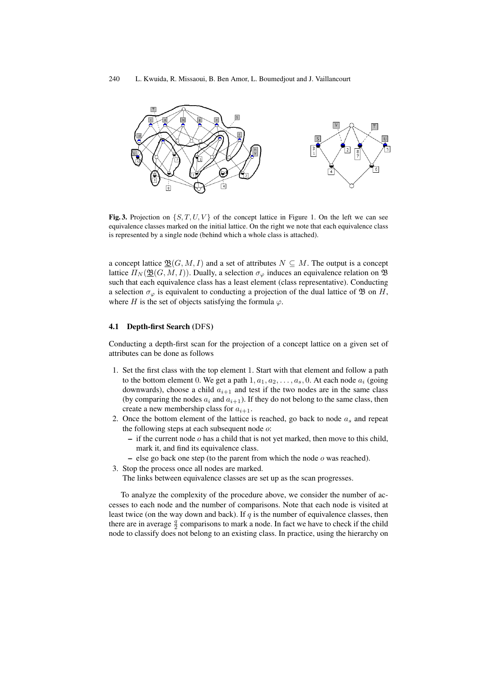

Fig. 3. Projection on  $\{S, T, U, V\}$  of the concept lattice in Figure 1. On the left we can see equivalence classes marked on the initial lattice. On the right we note that each equivalence class is represented by a single node (behind which a whole class is attached).

a concept lattice  $\underline{\mathfrak{B}}(G, M, I)$  and a set of attributes  $N \subseteq M$ . The output is a concept lattice  $\Pi_N(\mathfrak{B}(G,M,I))$ . Dually, a selection  $\sigma_{\varphi}$  induces an equivalence relation on  $\mathfrak{B}$ such that each equivalence class has a least element (class representative). Conducting a selection  $\sigma_{\varphi}$  is equivalent to conducting a projection of the dual lattice of  $\mathfrak{B}$  on H, where H is the set of objects satisfying the formula  $\varphi$ .

#### 4.1 Depth-first Search (DFS)

Conducting a depth-first scan for the projection of a concept lattice on a given set of attributes can be done as follows

- 1. Set the first class with the top element 1. Start with that element and follow a path to the bottom element 0. We get a path  $1, a_1, a_2, \ldots, a_s, 0$ . At each node  $a_i$  (going downwards), choose a child  $a_{i+1}$  and test if the two nodes are in the same class (by comparing the nodes  $a_i$  and  $a_{i+1}$ ). If they do not belong to the same class, then create a new membership class for  $a_{i+1}$ .
- 2. Once the bottom element of the lattice is reached, go back to node  $a_s$  and repeat the following steps at each subsequent node  $\omega$ :
	- $-$  if the current node  $o$  has a child that is not yet marked, then move to this child, mark it, and find its equivalence class.
	- else go back one step (to the parent from which the node  $o$  was reached).
- 3. Stop the process once all nodes are marked.
	- The links between equivalence classes are set up as the scan progresses.

To analyze the complexity of the procedure above, we consider the number of accesses to each node and the number of comparisons. Note that each node is visited at least twice (on the way down and back). If  $q$  is the number of equivalence classes, then there are in average  $\frac{q}{2}$  comparisons to mark a node. In fact we have to check if the child node to classify does not belong to an existing class. In practice, using the hierarchy on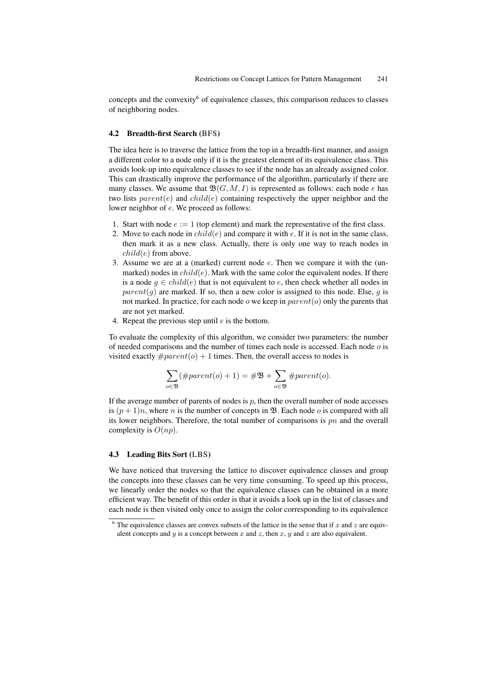concepts and the convexity<sup>6</sup> of equivalence classes, this comparison reduces to classes of neighboring nodes.

#### 4.2 Breadth-first Search (BFS)

The idea here is to traverse the lattice from the top in a breadth-first manner, and assign a different color to a node only if it is the greatest element of its equivalence class. This avoids look-up into equivalence classes to see if the node has an already assigned color. This can drastically improve the performance of the algorithm, particularly if there are many classes. We assume that  $\mathfrak{B}(G, M, I)$  is represented as follows: each node e has two lists  $parent(e)$  and  $child(e)$  containing respectively the upper neighbor and the lower neighbor of e. We proceed as follows:

- 1. Start with node  $e := 1$  (top element) and mark the representative of the first class.
- 2. Move to each node in  $child(e)$  and compare it with e. If it is not in the same class, then mark it as a new class. Actually, there is only one way to reach nodes in  $child(e)$  from above.
- 3. Assume we are at a (marked) current node e. Then we compare it with the (unmarked) nodes in  $child(e)$ . Mark with the same color the equivalent nodes. If there is a node  $q \in child(e)$  that is not equivalent to e, then check whether all nodes in  $parent(g)$  are marked. If so, then a new color is assigned to this node. Else, g is not marked. In practice, for each node  $o$  we keep in  $parent(o)$  only the parents that are not yet marked.
- 4. Repeat the previous step until e is the bottom.

To evaluate the complexity of this algorithm, we consider two parameters: the number of needed comparisons and the number of times each node is accessed. Each node  $o$  is visited exactly  $\#parent(o) + 1$  times. Then, the overall access to nodes is

$$
\sum_{o \in \mathfrak{B}} (\#parent(o) + 1) = \# \mathfrak{B} + \sum_{o \in \mathfrak{B}} \#parent(o).
$$

If the average number of parents of nodes is  $p$ , then the overall number of node accesses is  $(p+1)n$ , where *n* is the number of concepts in **B**. Each node *o* is compared with all its lower neighbors. Therefore, the total number of comparisons is  $pn$  and the overall complexity is  $O(np)$ .

## 4.3 Leading Bits Sort (LBS)

We have noticed that traversing the lattice to discover equivalence classes and group the concepts into these classes can be very time consuming. To speed up this process, we linearly order the nodes so that the equivalence classes can be obtained in a more efficient way. The benefit of this order is that it avoids a look up in the list of classes and each node is then visited only once to assign the color corresponding to its equivalence

 $6$  The equivalence classes are convex subsets of the lattice in the sense that if x and z are equivalent concepts and  $y$  is a concept between  $x$  and  $z$ , then  $x$ ,  $y$  and  $z$  are also equivalent.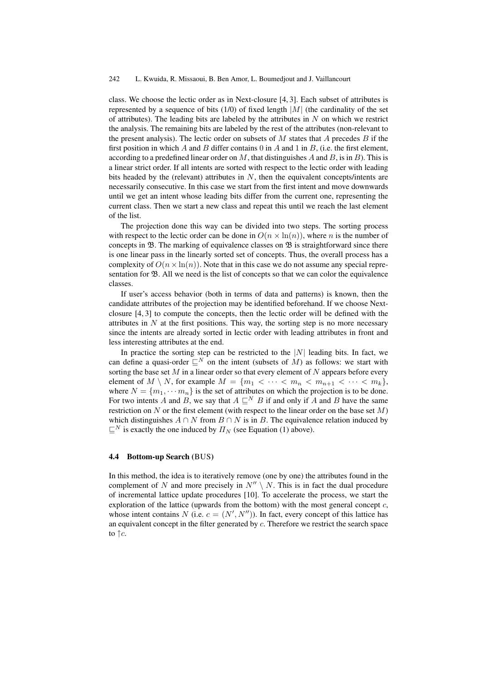class. We choose the lectic order as in Next-closure [4, 3]. Each subset of attributes is represented by a sequence of bits  $(1/0)$  of fixed length  $|M|$  (the cardinality of the set of attributes). The leading bits are labeled by the attributes in  $N$  on which we restrict the analysis. The remaining bits are labeled by the rest of the attributes (non-relevant to the present analysis). The lectic order on subsets of  $M$  states that  $A$  precedes  $B$  if the first position in which  $A$  and  $B$  differ contains 0 in  $A$  and 1 in  $B$ , (i.e. the first element, according to a predefined linear order on  $M$ , that distinguishes  $A$  and  $B$ , is in  $B$ ). This is a linear strict order. If all intents are sorted with respect to the lectic order with leading bits headed by the (relevant) attributes in  $N$ , then the equivalent concepts/intents are necessarily consecutive. In this case we start from the first intent and move downwards until we get an intent whose leading bits differ from the current one, representing the current class. Then we start a new class and repeat this until we reach the last element of the list.

The projection done this way can be divided into two steps. The sorting process with respect to the lectic order can be done in  $O(n \times \ln(n))$ , where n is the number of concepts in  $\mathfrak{B}$ . The marking of equivalence classes on  $\mathfrak{B}$  is straightforward since there is one linear pass in the linearly sorted set of concepts. Thus, the overall process has a complexity of  $O(n \times \ln(n))$ . Note that in this case we do not assume any special representation for  $\mathfrak{B}$ . All we need is the list of concepts so that we can color the equivalence classes.

If user's access behavior (both in terms of data and patterns) is known, then the candidate attributes of the projection may be identified beforehand. If we choose Nextclosure [4, 3] to compute the concepts, then the lectic order will be defined with the attributes in N at the first positions. This way, the sorting step is no more necessary since the intents are already sorted in lectic order with leading attributes in front and less interesting attributes at the end.

In practice the sorting step can be restricted to the  $|N|$  leading bits. In fact, we can define a quasi-order  $\mathbb{E}^N$  on the intent (subsets of M) as follows: we start with sorting the base set  $M$  in a linear order so that every element of  $N$  appears before every element of  $M \setminus N$ , for example  $M = \{m_1 < \cdots < m_n < m_{n+1} < \cdots < m_k\},\$ where  $N = \{m_1, \dots m_n\}$  is the set of attributes on which the projection is to be done. For two intents A and B, we say that  $A \sqsubseteq^N B$  if and only if A and B have the same restriction on  $N$  or the first element (with respect to the linear order on the base set  $M$ ) which distinguishes  $A \cap N$  from  $B \cap N$  is in B. The equivalence relation induced by  $\mathbb{E}^N$  is exactly the one induced by  $\Pi_N$  (see Equation (1) above).

#### 4.4 Bottom-up Search (BUS)

In this method, the idea is to iteratively remove (one by one) the attributes found in the complement of N and more precisely in  $N'' \setminus N$ . This is in fact the dual procedure of incremental lattice update procedures [10]. To accelerate the process, we start the exploration of the lattice (upwards from the bottom) with the most general concept  $c$ , whose intent contains N (i.e.  $c = (N', N'')$ ). In fact, every concept of this lattice has an equivalent concept in the filter generated by  $c$ . Therefore we restrict the search space to  $\uparrow$  c.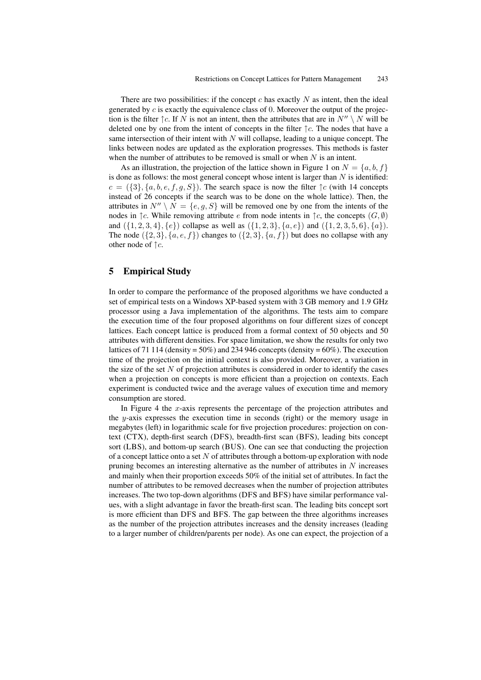There are two possibilities: if the concept c has exactly N as intent, then the ideal generated by  $c$  is exactly the equivalence class of 0. Moreover the output of the projection is the filter  $\uparrow c$ . If N is not an intent, then the attributes that are in  $N'' \setminus N$  will be deleted one by one from the intent of concepts in the filter  $\uparrow c$ . The nodes that have a same intersection of their intent with  $N$  will collapse, leading to a unique concept. The links between nodes are updated as the exploration progresses. This methods is faster when the number of attributes to be removed is small or when  $N$  is an intent.

As an illustration, the projection of the lattice shown in Figure 1 on  $N = \{a, b, f\}$ is done as follows: the most general concept whose intent is larger than  $N$  is identified:  $c = (\{3\}, \{a, b, e, f, g, S\})$ . The search space is now the filter  $\uparrow c$  (with 14 concepts instead of 26 concepts if the search was to be done on the whole lattice). Then, the attributes in  $N'' \setminus N = \{e, q, S\}$  will be removed one by one from the intents of the nodes in  $\uparrow c$ . While removing attribute e from node intents in  $\uparrow c$ , the concepts  $(G, \emptyset)$ and  $({1, 2, 3, 4}, {e})$  collapse as well as  $({1, 2, 3}, {a, e})$  and  $({1, 2, 3, 5, 6}, {a})$ . The node  $({2, 3}, {a, e, f})$  changes to  $({2, 3}, {a, f})$  but does no collapse with any other node of  $\uparrow c$ .

# 5 Empirical Study

In order to compare the performance of the proposed algorithms we have conducted a set of empirical tests on a Windows XP-based system with 3 GB memory and 1.9 GHz processor using a Java implementation of the algorithms. The tests aim to compare the execution time of the four proposed algorithms on four different sizes of concept lattices. Each concept lattice is produced from a formal context of 50 objects and 50 attributes with different densities. For space limitation, we show the results for only two lattices of 71 114 (density =  $50\%$ ) and 234 946 concepts (density =  $60\%$ ). The execution time of the projection on the initial context is also provided. Moreover, a variation in the size of the set  $N$  of projection attributes is considered in order to identify the cases when a projection on concepts is more efficient than a projection on contexts. Each experiment is conducted twice and the average values of execution time and memory consumption are stored.

In Figure 4 the x-axis represents the percentage of the projection attributes and the y-axis expresses the execution time in seconds (right) or the memory usage in megabytes (left) in logarithmic scale for five projection procedures: projection on context (CTX), depth-first search (DFS), breadth-first scan (BFS), leading bits concept sort (LBS), and bottom-up search (BUS). One can see that conducting the projection of a concept lattice onto a set  $N$  of attributes through a bottom-up exploration with node pruning becomes an interesting alternative as the number of attributes in  $N$  increases and mainly when their proportion exceeds 50% of the initial set of attributes. In fact the number of attributes to be removed decreases when the number of projection attributes increases. The two top-down algorithms (DFS and BFS) have similar performance values, with a slight advantage in favor the breath-first scan. The leading bits concept sort is more efficient than DFS and BFS. The gap between the three algorithms increases as the number of the projection attributes increases and the density increases (leading to a larger number of children/parents per node). As one can expect, the projection of a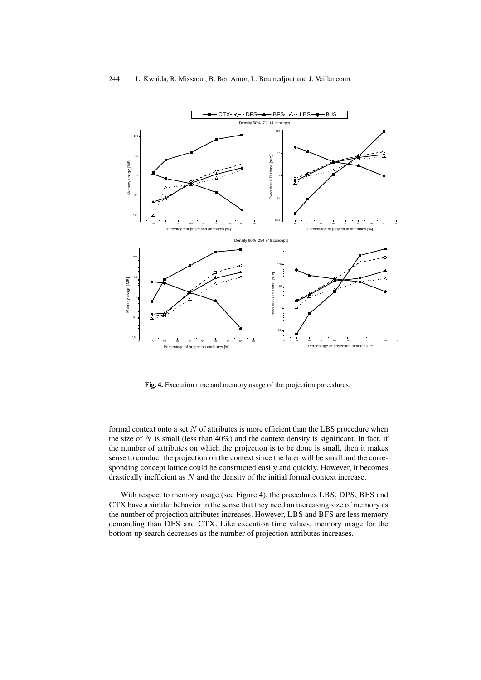

Fig. 4. Execution time and memory usage of the projection procedures.

formal context onto a set  $N$  of attributes is more efficient than the LBS procedure when the size of  $N$  is small (less than 40%) and the context density is significant. In fact, if the number of attributes on which the projection is to be done is small, then it makes sense to conduct the projection on the context since the later will be small and the corresponding concept lattice could be constructed easily and quickly. However, it becomes drastically inefficient as N and the density of the initial formal context increase.

With respect to memory usage (see Figure 4), the procedures LBS, DPS, BFS and CTX have a similar behavior in the sense that they need an increasing size of memory as the number of projection attributes increases. However, LBS and BFS are less memory demanding than DFS and CTX. Like execution time values, memory usage for the bottom-up search decreases as the number of projection attributes increases.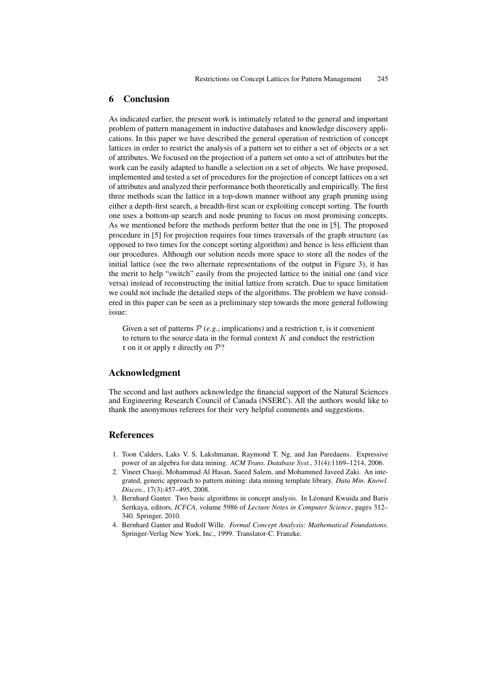## 6 Conclusion

As indicated earlier, the present work is intimately related to the general and important problem of pattern management in inductive databases and knowledge discovery applications. In this paper we have described the general operation of restriction of concept lattices in order to restrict the analysis of a pattern set to either a set of objects or a set of attributes. We focused on the projection of a pattern set onto a set of attributes but the work can be easily adapted to handle a selection on a set of objects. We have proposed, implemented and tested a set of procedures for the projection of concept lattices on a set of attributes and analyzed their performance both theoretically and empirically. The first three methods scan the lattice in a top-down manner without any graph pruning using either a depth-first search, a breadth-first scan or exploiting concept sorting. The fourth one uses a bottom-up search and node pruning to focus on most promising concepts. As we mentioned before the methods perform better that the one in [5]. The proposed procedure in [5] for projection requires four times traversals of the graph structure (as opposed to two times for the concept sorting algorithm) and hence is less efficient than our procedures. Although our solution needs more space to store all the nodes of the initial lattice (see the two alternate representations of the output in Figure 3), it has the merit to help "switch" easily from the projected lattice to the initial one (and vice versa) instead of reconstructing the initial lattice from scratch. Due to space limitation we could not include the detailed steps of the algorithms. The problem we have considered in this paper can be seen as a preliminary step towards the more general following issue:

Given a set of patterns  $P(e.g.,$  implications) and a restriction  $r$ , is it convenient to return to the source data in the formal context  $K$  and conduct the restriction  $\mathfrak r$  on it or apply  $\mathfrak r$  directly on  $\mathcal P$ ?

## Acknowledgment

The second and last authors acknowledge the financial support of the Natural Sciences and Engineering Research Council of Canada (NSERC). All the authors would like to thank the anonymous referees for their very helpful comments and suggestions.

## References

- 1. Toon Calders, Laks V. S. Lakshmanan, Raymond T. Ng, and Jan Paredaens. Expressive power of an algebra for data mining. *ACM Trans. Database Syst.*, 31(4):1169–1214, 2006.
- 2. Vineet Chaoji, Mohammad Al Hasan, Saeed Salem, and Mohammed Javeed Zaki. An integrated, generic approach to pattern mining: data mining template library. *Data Min. Knowl. Discov.*, 17(3):457–495, 2008.
- 3. Bernhard Ganter. Two basic algorithms in concept analysis. In Léonard Kwuida and Baris Sertkaya, editors, *ICFCA*, volume 5986 of *Lecture Notes in Computer Science*, pages 312– 340. Springer, 2010.
- 4. Bernhard Ganter and Rudolf Wille. *Formal Concept Analysis: Mathematical Foundations*. Springer-Verlag New York, Inc., 1999. Translator-C. Franzke.